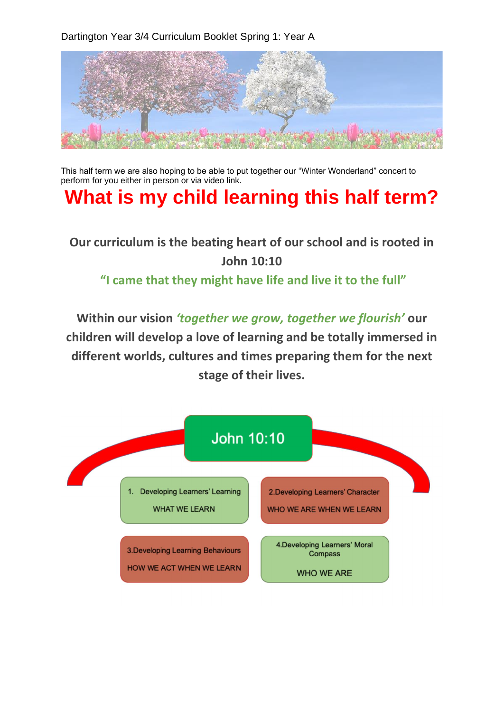Dartington Year 3/4 Curriculum Booklet Spring 1: Year A



This half term we are also hoping to be able to put together our "Winter Wonderland" concert to perform for you either in person or via video link.

## **What is my child learning this half term?**

**Our curriculum is the beating heart of our school and is rooted in John 10:10** 

## **"I came that they might have life and live it to the full"**

**Within our vision** *'together we grow, together we flourish'* **our children will develop a love of learning and be totally immersed in different worlds, cultures and times preparing them for the next stage of their lives.**